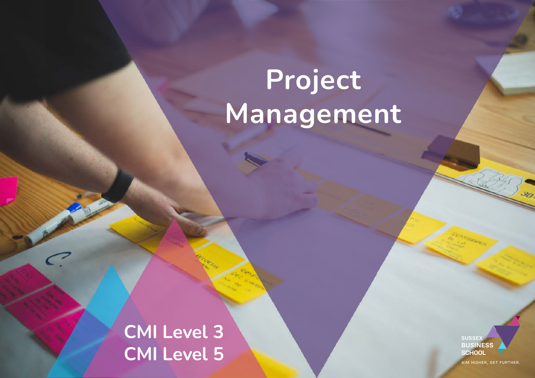# **Project Management**

**CMI Level 3 CMI Level 5**

 $\subset$ 

**SUSSEX BUSINESS SCHOOL** 

AIM HIGHER, GET FURTHER.

30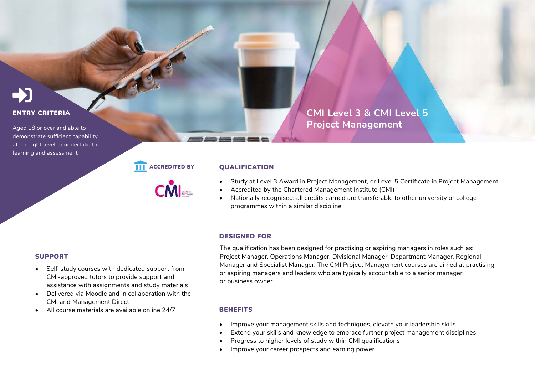#### ENTRY CRITERIA

Aged 18 or over and able to demonstrate sufficient capability at the right level to undertake the learning and assessment

#### **III** ACCREDITED BY **QUALIFICATION**

- Study at Level 3 Award in Project Management, or Level 5 Certificate in Project Management
- Accredited by the Chartered Management Institute (CMI)
- Nationally recognised: all credits earned are transferable to other university or college programmes within a similar discipline

#### DESIGNED FOR

The qualification has been designed for practising or aspiring managers in roles such as: Project Manager, Operations Manager, Divisional Manager, Department Manager, Regional Manager and Specialist Manager. The CMI Project Management courses are aimed at practising or aspiring managers and leaders who are typically accountable to a senior manager or business owner.

#### **BENEFITS**

- Improve your management skills and techniques, elevate your leadership skills
- Extend your skills and knowledge to embrace further project management disciplines
- Progress to higher levels of study within CMI qualifications
- Improve your career prospects and earning power

#### SUPPORT

- Self-study courses with dedicated support from CMI-approved tutors to provide support and assistance with assignments and study materials
- Delivered via Moodle and in collaboration with the CMI and Management Direct
- All course materials are available online 24/7

**CMI Level 3 & CMI Level 5 Project Management**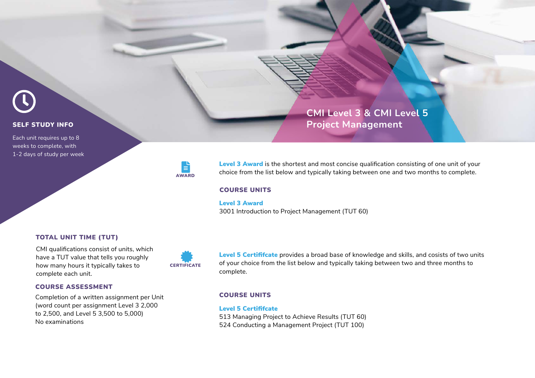

## **SELF STUDY INFO**

Each unit requires up to 8 weeks to complete, with 1-2 days of study per week



Level 3 Award is the shortest and most concise qualification consisting of one unit of your choice from the list below and typically taking between one and two months to complete.

**Project Management**

**CMI Level 3 & CMI Level 5**

#### COURSE UNITS

#### Level 3 Award

3001 Introduction to Project Management (TUT 60)

#### TOTAL UNIT TIME (TUT)

CMI qualifications consist of units, which have a TUT value that tells you roughly how many hours it typically takes to complete each unit.



Level 5 Certififcate provides a broad base of knowledge and skills, and cosists of two units of your choice from the list below and typically taking between two and three months to complete.

#### COURSE UNITS

#### Level 5 Certififcate

513 Managing Project to Achieve Results (TUT 60) 524 Conducting a Management Project (TUT 100)

#### COURSE ASSESSMENT

Completion of a written assignment per Unit (word count per assignment Level 3 2,000 to 2,500, and Level 5 3,500 to 5,000) No examinations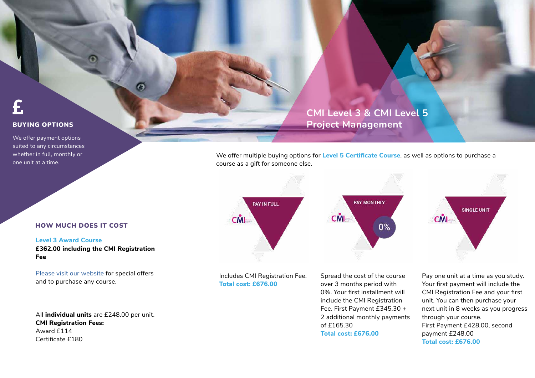#### BUYING OPTIONS

We offer payment options suited to any circumstances whether in full, monthly or one unit at a time.

## **CMI Level 3 & CMI Level 5 Project Management**

We offer multiple buying options for **Level 5 Certificate Course**, as well as options to purchase a course as a gift for someone else.



Includes CMI Registration Fee. **Total cost: £676.00**

Spread the cost of the course over 3 months period with 0%. Your first installment will include the CMI Registration Fee. First Payment £345.30 + 2 additional monthly payments of £165.30 **Total cost: £676.00**

Pay one unit at a time as you study. Your first payment will include the CMI Registration Fee and your first unit. You can then purchase your next unit in 8 weeks as you progress through your course. First Payment £428.00, second payment £248.00 **Total cost: £676.00**

#### HOW MUCH DOES IT COST

**Level 3 Award Course £362.00 including the CMI Registration Fee**

 $\bullet$ 

[Please visit our website](https://sussexbusinessschool.com) for special offers and to purchase any course.

All **individual units** are £248.00 per unit. **CMI Registration Fees:** Award £114 Certificate £180